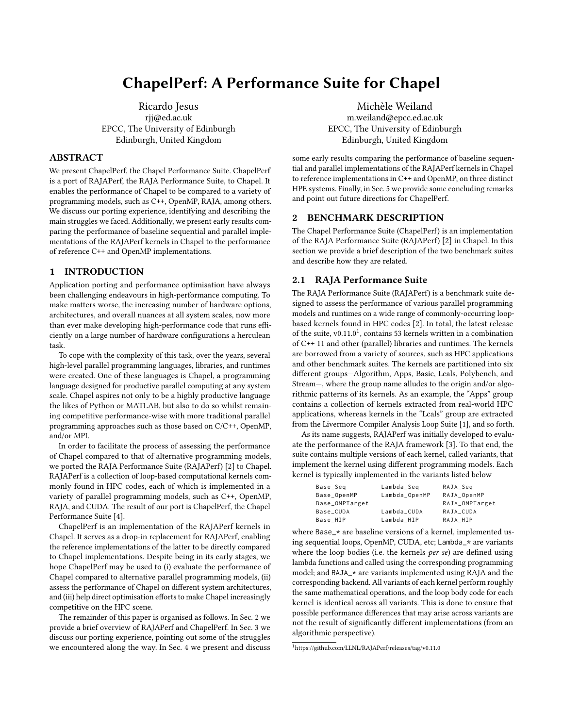# ChapelPerf: A Performance Suite for Chapel

Ricardo Jesus rjj@ed.ac.uk EPCC, The University of Edinburgh Edinburgh, United Kingdom

## ABSTRACT

We present ChapelPerf, the Chapel Performance Suite. ChapelPerf is a port of RAJAPerf, the RAJA Performance Suite, to Chapel. It enables the performance of Chapel to be compared to a variety of programming models, such as C++, OpenMP, RAJA, among others. We discuss our porting experience, identifying and describing the main struggles we faced. Additionally, we present early results comparing the performance of baseline sequential and parallel implementations of the RAJAPerf kernels in Chapel to the performance of reference C++ and OpenMP implementations.

## 1 INTRODUCTION

Application porting and performance optimisation have always been challenging endeavours in high-performance computing. To make matters worse, the increasing number of hardware options, architectures, and overall nuances at all system scales, now more than ever make developing high-performance code that runs efficiently on a large number of hardware configurations a herculean task.

To cope with the complexity of this task, over the years, several high-level parallel programming languages, libraries, and runtimes were created. One of these languages is Chapel, a programming language designed for productive parallel computing at any system scale. Chapel aspires not only to be a highly productive language the likes of Python or MATLAB, but also to do so whilst remaining competitive performance-wise with more traditional parallel programming approaches such as those based on C/C++, OpenMP, and/or MPI.

In order to facilitate the process of assessing the performance of Chapel compared to that of alternative programming models, we ported the RAJA Performance Suite (RAJAPerf) [\[2\]](#page-2-0) to Chapel. RAJAPerf is a collection of loop-based computational kernels commonly found in HPC codes, each of which is implemented in a variety of parallel programming models, such as C++, OpenMP, RAJA, and CUDA. The result of our port is ChapelPerf, the Chapel Performance Suite [\[4\]](#page-2-1).

ChapelPerf is an implementation of the RAJAPerf kernels in Chapel. It serves as a drop-in replacement for RAJAPerf, enabling the reference implementations of the latter to be directly compared to Chapel implementations. Despite being in its early stages, we hope ChapelPerf may be used to (i) evaluate the performance of Chapel compared to alternative parallel programming models, (ii) assess the performance of Chapel on different system architectures, and (iii) help direct optimisation efforts to make Chapel increasingly competitive on the HPC scene.

The remainder of this paper is organised as follows. In Sec. [2](#page-0-0) we provide a brief overview of RAJAPerf and ChapelPerf. In Sec. [3](#page-1-0) we discuss our porting experience, pointing out some of the struggles we encountered along the way. In Sec. [4](#page-1-1) we present and discuss

Michèle Weiland m.weiland@epcc.ed.ac.uk EPCC, The University of Edinburgh Edinburgh, United Kingdom

some early results comparing the performance of baseline sequential and parallel implementations of the RAJAPerf kernels in Chapel to reference implementations in C++ and OpenMP, on three distinct HPE systems. Finally, in Sec. [5](#page-2-2) we provide some concluding remarks and point out future directions for ChapelPerf.

## <span id="page-0-0"></span>2 BENCHMARK DESCRIPTION

The Chapel Performance Suite (ChapelPerf) is an implementation of the RAJA Performance Suite (RAJAPerf) [\[2\]](#page-2-0) in Chapel. In this section we provide a brief description of the two benchmark suites and describe how they are related.

## 2.1 RAJA Performance Suite

The RAJA Performance Suite (RAJAPerf) is a benchmark suite designed to assess the performance of various parallel programming models and runtimes on a wide range of commonly-occurring loopbased kernels found in HPC codes [\[2\]](#page-2-0). In total, the latest release of the suite,  $v0.11.0<sup>1</sup>$  $v0.11.0<sup>1</sup>$  $v0.11.0<sup>1</sup>$ , contains 53 kernels written in a combination of C++ 11 and other (parallel) libraries and runtimes. The kernels are borrowed from a variety of sources, such as HPC applications and other benchmark suites. The kernels are partitioned into six different groups—Algorithm, Apps, Basic, Lcals, Polybench, and Stream—, where the group name alludes to the origin and/or algorithmic patterns of its kernels. As an example, the "Apps" group contains a collection of kernels extracted from real-world HPC applications, whereas kernels in the "Lcals" group are extracted from the Livermore Compiler Analysis Loop Suite [\[1\]](#page-2-3), and so forth.

As its name suggests, RAJAPerf was initially developed to evaluate the performance of the RAJA framework [\[3\]](#page-2-4). To that end, the suite contains multiple versions of each kernel, called variants, that implement the kernel using different programming models. Each kernel is typically implemented in the variants listed below

| Base_Seq       | Lambda_Seq    | RAJA_Seq       |
|----------------|---------------|----------------|
| Base_OpenMP    | Lambda_OpenMP | RAJA_OpenMP    |
| Base_OMPTarget |               | RAJA_OMPTarget |
| Base_CUDA      | Lambda CUDA   | RAJA CUDA      |
| Base HIP       | Lambda HIP    | RAJA HIP       |

where Base\_\* are baseline versions of a kernel, implemented using sequential loops, OpenMP, CUDA, etc; Lambda\_\* are variants where the loop bodies (i.e. the kernels per se) are defined using lambda functions and called using the corresponding programming model; and RAJA\_\* are variants implemented using RAJA and the corresponding backend. All variants of each kernel perform roughly the same mathematical operations, and the loop body code for each kernel is identical across all variants. This is done to ensure that possible performance differences that may arise across variants are not the result of significantly different implementations (from an algorithmic perspective).

<span id="page-0-1"></span><sup>1</sup><https://github.com/LLNL/RAJAPerf/releases/tag/v0.11.0>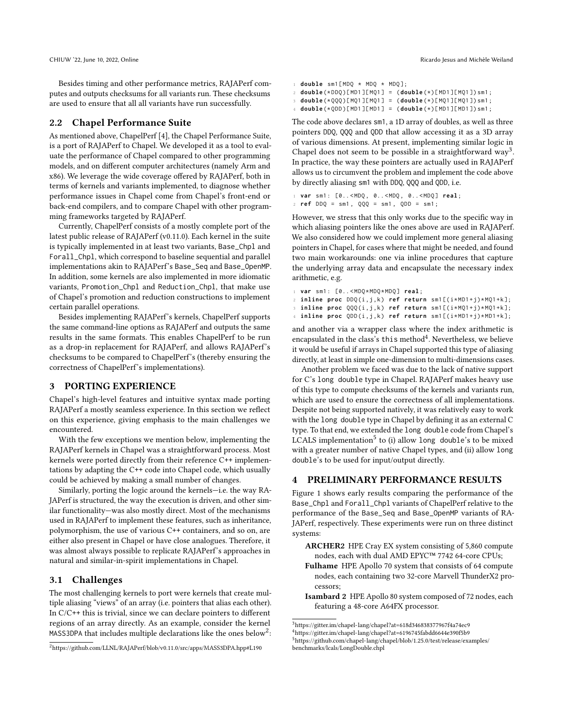Besides timing and other performance metrics, RAJAPerf computes and outputs checksums for all variants run. These checksums are used to ensure that all all variants have run successfully.

#### 2.2 Chapel Performance Suite

As mentioned above, ChapelPerf [\[4\]](#page-2-1), the Chapel Performance Suite, is a port of RAJAPerf to Chapel. We developed it as a tool to evaluate the performance of Chapel compared to other programming models, and on different computer architectures (namely Arm and x86). We leverage the wide coverage offered by RAJAPerf, both in terms of kernels and variants implemented, to diagnose whether performance issues in Chapel come from Chapel's front-end or back-end compilers, and to compare Chapel with other programming frameworks targeted by RAJAPerf.

Currently, ChapelPerf consists of a mostly complete port of the latest public release of RAJAPerf (v0.11.0). Each kernel in the suite is typically implemented in at least two variants, Base\_Chpl and Forall\_Chpl, which correspond to baseline sequential and parallel implementations akin to RAJAPerf's Base\_Seq and Base\_OpenMP. In addition, some kernels are also implemented in more idiomatic variants, Promotion\_Chpl and Reduction\_Chpl, that make use of Chapel's promotion and reduction constructions to implement certain parallel operations.

Besides implementing RAJAPerf's kernels, ChapelPerf supports the same command-line options as RAJAPerf and outputs the same results in the same formats. This enables ChapelPerf to be run as a drop-in replacement for RAJAPerf, and allows RAJAPerf's checksums to be compared to ChapelPerf's (thereby ensuring the correctness of ChapelPerf's implementations).

# <span id="page-1-0"></span>3 PORTING EXPERIENCE

Chapel's high-level features and intuitive syntax made porting RAJAPerf a mostly seamless experience. In this section we reflect on this experience, giving emphasis to the main challenges we encountered.

With the few exceptions we mention below, implementing the RAJAPerf kernels in Chapel was a straightforward process. Most kernels were ported directly from their reference C++ implementations by adapting the C++ code into Chapel code, which usually could be achieved by making a small number of changes.

Similarly, porting the logic around the kernels—i.e. the way RA-JAPerf is structured, the way the execution is driven, and other similar functionality—was also mostly direct. Most of the mechanisms used in RAJAPerf to implement these features, such as inheritance, polymorphism, the use of various C++ containers, and so on, are either also present in Chapel or have close analogues. Therefore, it was almost always possible to replicate RAJAPerf's approaches in natural and similar-in-spirit implementations in Chapel.

## 3.1 Challenges

The most challenging kernels to port were kernels that create multiple aliasing "views" of an array (i.e. pointers that alias each other). In C/C++ this is trivial, since we can declare pointers to different regions of an array directly. As an example, consider the kernel <code>MASS3DPA</code> that includes multiple declarations like the ones below $^2\!$  $^2\!$  $^2\!$  :

CHIUW '22, June 10, 2022, Online 2002, Online Ricardo Jesus and Michèle Weiland

```
1 double sm1 [ MDQ * MDQ * MDQ ];
  2 double (* DDQ )[ MD1 ][ MQ1 ] = ( double (*)[ MD1 ][ MQ1 ]) sm1 ;
  3 double (* QQQ )[ MQ1 ][ MQ1 ] = ( double (*)[ MQ1 ][ MQ1 ]) sm1 ;
```
4 **double** (\* QDD )[ MD1 ][ MD1 ] = ( **double** (\*)[ MD1 ][ MD1 ]) sm1 ;

The code above declares sm1, a 1D array of doubles, as well as three pointers DDQ, QQQ and QDD that allow accessing it as a 3D array of various dimensions. At present, implementing similar logic in Chapel does not seem to be possible in a straightforward way<sup>[3](#page-1-3)</sup>. In practice, the way these pointers are actually used in RAJAPerf allows us to circumvent the problem and implement the code above

```
by directly aliasing sm1 with DDQ, QQQ and QDD, i.e.
1 var sm1 : [0.. < MDQ , 0.. < MDQ , 0.. < MDQ ] real ;
2 ref DDQ = sm1 , QQQ = sm1 , QDD = sm1 ;
```
However, we stress that this only works due to the specific way in which aliasing pointers like the ones above are used in RAJAPerf. We also considered how we could implement more general aliasing pointers in Chapel, for cases where that might be needed, and found two main workarounds: one via inline procedures that capture the underlying array data and encapsulate the necessary index arithmetic, e.g.

```
1 var sm1 : [0.. < MDQ * MDQ * MDQ ] real ;
2 inline proc DDQ (i ,j , k ) ref return sm1 [( i * MD1 + j )* MQ1 + k ];
3 inline proc QQQ (i ,j , k ) ref return sm1 [( i * MQ1 + j )* MQ1 + k ];
4 inline proc QDD (i ,j , k ) ref return sm1 [( i * MD1 + j )* MD1 + k ];
```
and another via a wrapper class where the index arithmetic is encapsulated in the class's this method<sup>[4](#page-1-4)</sup>. Nevertheless, we believe it would be useful if arrays in Chapel supported this type of aliasing directly, at least in simple one-dimension to multi-dimensions cases.

Another problem we faced was due to the lack of native support for C's long double type in Chapel. RAJAPerf makes heavy use of this type to compute checksums of the kernels and variants run, which are used to ensure the correctness of all implementations. Despite not being supported natively, it was relatively easy to work with the long double type in Chapel by defining it as an external C type. To that end, we extended the long double code from Chapel's LCALS implementation<sup>[5](#page-1-5)</sup> to (i) allow long double's to be mixed with a greater number of native Chapel types, and (ii) allow long double's to be used for input/output directly.

## <span id="page-1-1"></span>4 PRELIMINARY PERFORMANCE RESULTS

Figure [1](#page-2-5) shows early results comparing the performance of the Base\_Chpl and Forall\_Chpl variants of ChapelPerf relative to the performance of the Base\_Seq and Base\_OpenMP variants of RA-JAPerf, respectively. These experiments were run on three distinct systems:

- ARCHER2 HPE Cray EX system consisting of 5,860 compute nodes, each with dual AMD EPYC™ 7742 64-core CPUs;
- Fulhame HPE Apollo 70 system that consists of 64 compute nodes, each containing two 32-core Marvell ThunderX2 processors;
- Isambard 2 HPE Apollo 80 system composed of 72 nodes, each featuring a 48-core A64FX processor.

<span id="page-1-2"></span><sup>2</sup><https://github.com/LLNL/RAJAPerf/blob/v0.11.0/src/apps/MASS3DPA.hpp#L190>

<span id="page-1-3"></span> $^3$ <https://gitter.im/chapel-lang/chapel?at=618d346838377967f4a74ec9>

<span id="page-1-4"></span> $^4$ <https://gitter.im/chapel-lang/chapel?at=6196745fabdd6644e390f5b9>

<span id="page-1-5"></span><sup>5</sup>[https://github.com/chapel-lang/chapel/blob/1.25.0/test/release/examples/](https://github.com/chapel-lang/chapel/blob/1.25.0/test/release/examples/benchmarks/lcals/LongDouble.chpl) [benchmarks/lcals/LongDouble.chpl](https://github.com/chapel-lang/chapel/blob/1.25.0/test/release/examples/benchmarks/lcals/LongDouble.chpl)